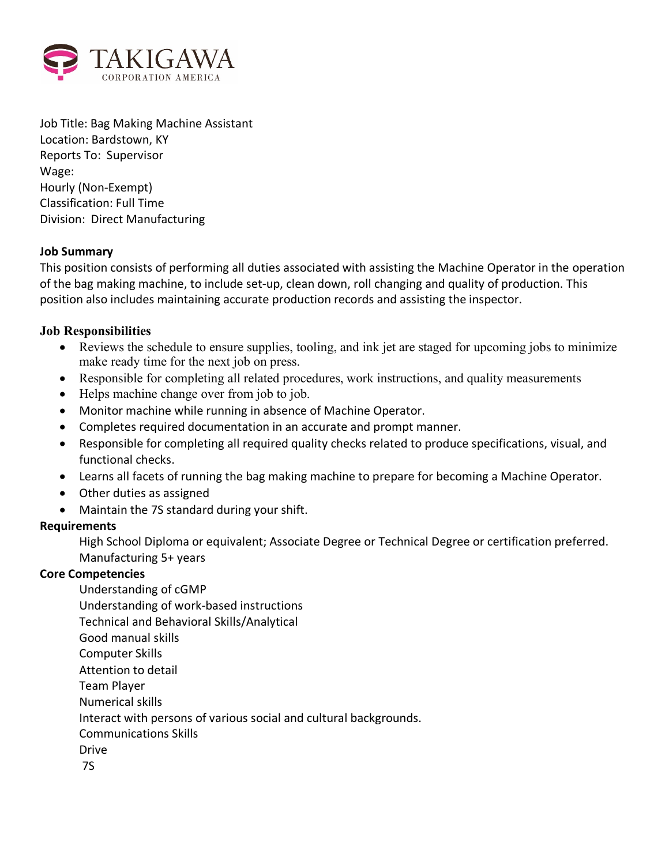

Job Title: Bag Making Machine Assistant Location: Bardstown, KY Reports To: Supervisor Wage: Hourly (Non-Exempt) Classification: Full Time Division: Direct Manufacturing

## **Job Summary**

This position consists of performing all duties associated with assisting the Machine Operator in the operation of the bag making machine, to include set-up, clean down, roll changing and quality of production. This position also includes maintaining accurate production records and assisting the inspector.

## **Job Responsibilities**

- Reviews the schedule to ensure supplies, tooling, and ink jet are staged for upcoming jobs to minimize make ready time for the next job on press.
- Responsible for completing all related procedures, work instructions, and quality measurements
- Helps machine change over from job to job.
- Monitor machine while running in absence of Machine Operator.
- Completes required documentation in an accurate and prompt manner.
- Responsible for completing all required quality checks related to produce specifications, visual, and functional checks.
- Learns all facets of running the bag making machine to prepare for becoming a Machine Operator.
- Other duties as assigned
- Maintain the 7S standard during your shift.

### **Requirements**

High School Diploma or equivalent; Associate Degree or Technical Degree or certification preferred. Manufacturing 5+ years

## **Core Competencies**

Understanding of cGMP Understanding of work-based instructions Technical and Behavioral Skills/Analytical Good manual skills Computer Skills Attention to detail Team Player Numerical skills Interact with persons of various social and cultural backgrounds. Communications Skills Drive 7S